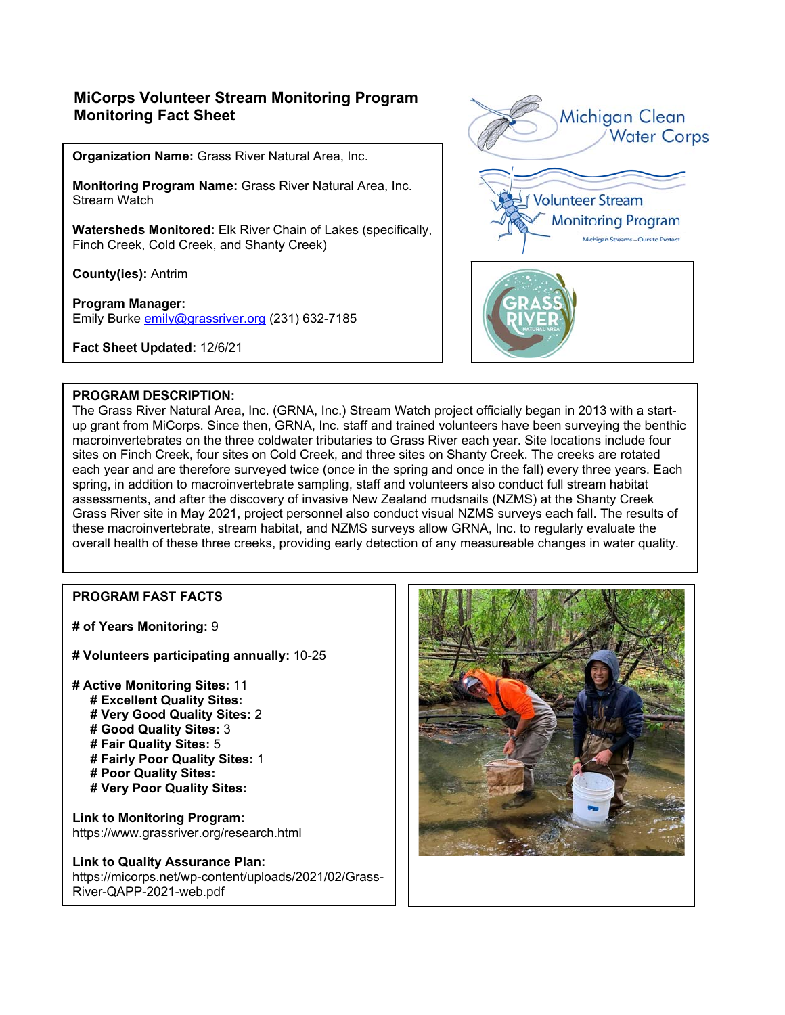# **MiCorps Volunteer Stream Monitoring Program Monitoring Fact Sheet**

**Organization Name:** Grass River Natural Area, Inc.

**Monitoring Program Name:** Grass River Natural Area, Inc. Stream Watch

**Watersheds Monitored:** Elk River Chain of Lakes (specifically, Finch Creek, Cold Creek, and Shanty Creek)

**County(ies):** Antrim

**Program Manager:** Emily Burke emily@grassriver.org (231) 632-7185

**Fact Sheet Updated:** 12/6/21



#### **PROGRAM DESCRIPTION:**

The Grass River Natural Area, Inc. (GRNA, Inc.) Stream Watch project officially began in 2013 with a startup grant from MiCorps. Since then, GRNA, Inc. staff and trained volunteers have been surveying the benthic macroinvertebrates on the three coldwater tributaries to Grass River each year. Site locations include four sites on Finch Creek, four sites on Cold Creek, and three sites on Shanty Creek. The creeks are rotated each year and are therefore surveyed twice (once in the spring and once in the fall) every three years. Each spring, in addition to macroinvertebrate sampling, staff and volunteers also conduct full stream habitat assessments, and after the discovery of invasive New Zealand mudsnails (NZMS) at the Shanty Creek Grass River site in May 2021, project personnel also conduct visual NZMS surveys each fall. The results of these macroinvertebrate, stream habitat, and NZMS surveys allow GRNA, Inc. to regularly evaluate the overall health of these three creeks, providing early detection of any measureable changes in water quality.

## **PROGRAM FAST FACTS**

**# of Years Monitoring:** 9

**# Volunteers participating annually:** 10-25

**# Active Monitoring Sites:** 11

- **# Excellent Quality Sites:**
- **# Very Good Quality Sites:** 2
- **# Good Quality Sites:** 3
- **# Fair Quality Sites:** 5
- **# Fairly Poor Quality Sites:** 1
- **# Poor Quality Sites:**
- **# Very Poor Quality Sites:**

**Link to Monitoring Program:**  https://www.grassriver.org/research.html

## **Link to Quality Assurance Plan:**

https://micorps.net/wp-content/uploads/2021/02/Grass-River-QAPP-2021-web.pdf